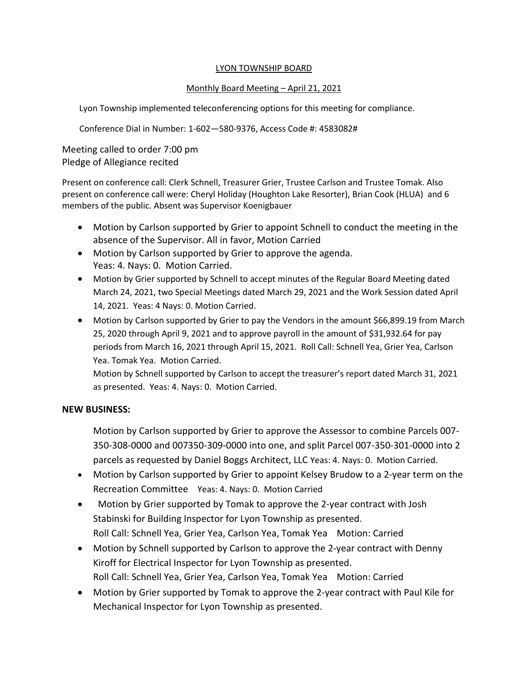# LYON TOWNSHIP BOARD

# Monthly Board Meeting – April 21, 2021

Lyon Township implemented teleconferencing options for this meeting for compliance.

Conference Dial in Number: 1-602—580-9376, Access Code #: 4583082#

Meeting called to order 7:00 pm Pledge of Allegiance recited

Present on conference call: Clerk Schnell, Treasurer Grier, Trustee Carlson and Trustee Tomak. Also present on conference call were: Cheryl Holiday (Houghton Lake Resorter), Brian Cook (HLUA) and 6 members of the public. Absent was Supervisor Koenigbauer

- Motion by Carlson supported by Grier to appoint Schnell to conduct the meeting in the absence of the Supervisor. All in favor, Motion Carried
- Motion by Carlson supported by Grier to approve the agenda. Yeas: 4. Nays: 0. Motion Carried.
- Motion by Grier supported by Schnell to accept minutes of the Regular Board Meeting dated March 24, 2021, two Special Meetings dated March 29, 2021 and the Work Session dated April 14, 2021. Yeas: 4 Nays: 0. Motion Carried.
- Motion by Carlson supported by Grier to pay the Vendors in the amount \$66,899.19 from March 25, 2020 through April 9, 2021 and to approve payroll in the amount of \$31,932.64 for pay periods from March 16, 2021 through April 15, 2021. Roll Call: Schnell Yea, Grier Yea, Carlson Yea. Tomak Yea. Motion Carried.

Motion by Schnell supported by Carlson to accept the treasurer's report dated March 31, 2021 as presented. Yeas: 4. Nays: 0. Motion Carried.

# **NEW BUSINESS:**

Motion by Carlson supported by Grier to approve the Assessor to combine Parcels 007- 350-308-0000 and 007350-309-0000 into one, and split Parcel 007-350-301-0000 into 2 parcels as requested by Daniel Boggs Architect, LLC Yeas: 4. Nays: 0. Motion Carried.

- Motion by Carlson supported by Grier to appoint Kelsey Brudow to a 2-year term on the Recreation Committee Yeas: 4. Nays: 0. Motion Carried
- Motion by Grier supported by Tomak to approve the 2-year contract with Josh Stabinski for Building Inspector for Lyon Township as presented. Roll Call: Schnell Yea, Grier Yea, Carlson Yea, Tomak Yea Motion: Carried
- Motion by Schnell supported by Carlson to approve the 2-year contract with Denny Kiroff for Electrical Inspector for Lyon Township as presented. Roll Call: Schnell Yea, Grier Yea, Carlson Yea, Tomak Yea Motion: Carried
- Motion by Grier supported by Tomak to approve the 2-year contract with Paul Kile for Mechanical Inspector for Lyon Township as presented.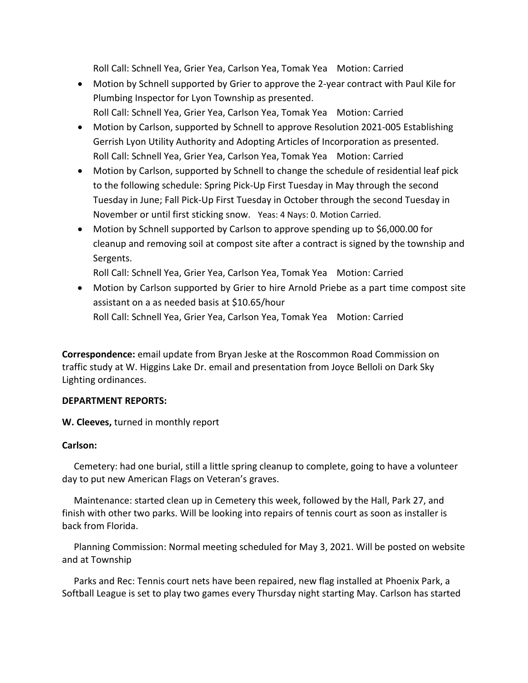Roll Call: Schnell Yea, Grier Yea, Carlson Yea, Tomak Yea Motion: Carried

- Motion by Schnell supported by Grier to approve the 2-year contract with Paul Kile for Plumbing Inspector for Lyon Township as presented. Roll Call: Schnell Yea, Grier Yea, Carlson Yea, Tomak Yea Motion: Carried
- Motion by Carlson, supported by Schnell to approve Resolution 2021-005 Establishing Gerrish Lyon Utility Authority and Adopting Articles of Incorporation as presented. Roll Call: Schnell Yea, Grier Yea, Carlson Yea, Tomak Yea Motion: Carried
- Motion by Carlson, supported by Schnell to change the schedule of residential leaf pick to the following schedule: Spring Pick-Up First Tuesday in May through the second Tuesday in June; Fall Pick-Up First Tuesday in October through the second Tuesday in November or until first sticking snow. Yeas: 4 Nays: 0. Motion Carried.
- Motion by Schnell supported by Carlson to approve spending up to \$6,000.00 for cleanup and removing soil at compost site after a contract is signed by the township and Sergents.

Roll Call: Schnell Yea, Grier Yea, Carlson Yea, Tomak Yea Motion: Carried

• Motion by Carlson supported by Grier to hire Arnold Priebe as a part time compost site assistant on a as needed basis at \$10.65/hour Roll Call: Schnell Yea, Grier Yea, Carlson Yea, Tomak Yea Motion: Carried

**Correspondence:** email update from Bryan Jeske at the Roscommon Road Commission on traffic study at W. Higgins Lake Dr. email and presentation from Joyce Belloli on Dark Sky Lighting ordinances.

# **DEPARTMENT REPORTS:**

**W. Cleeves,** turned in monthly report

# **Carlson:**

Cemetery: had one burial, still a little spring cleanup to complete, going to have a volunteer day to put new American Flags on Veteran's graves.

 Maintenance: started clean up in Cemetery this week, followed by the Hall, Park 27, and finish with other two parks. Will be looking into repairs of tennis court as soon as installer is back from Florida.

 Planning Commission: Normal meeting scheduled for May 3, 2021. Will be posted on website and at Township

 Parks and Rec: Tennis court nets have been repaired, new flag installed at Phoenix Park, a Softball League is set to play two games every Thursday night starting May. Carlson has started